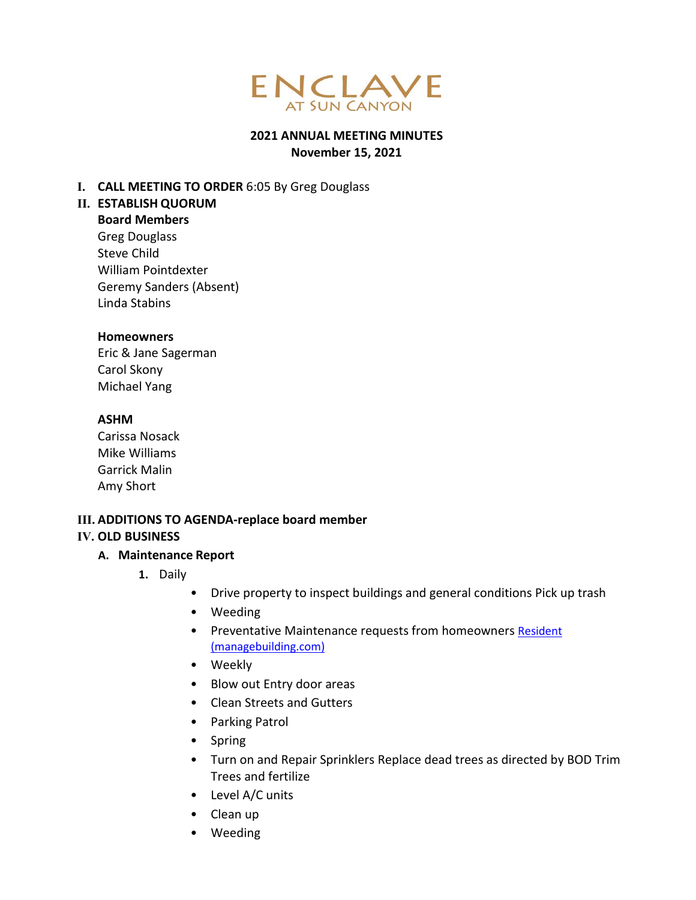

#### **2021 ANNUAL MEETING MINUTES November 15, 2021**

#### **I. CALL MEETING TO ORDER** 6:05 By Greg Douglass

#### **II. ESTABLISH QUORUM**

**Board Members** Greg Douglass Steve Child William Pointdexter Geremy Sanders (Absent) Linda Stabins

#### **Homeowners**

Eric & Jane Sagerman Carol Skony Michael Yang

#### **ASHM**

Carissa Nosack Mike Williams Garrick Malin Amy Short

# **III. ADDITIONS TO AGENDA-replace board member**

#### **IV. OLD BUSINESS**

#### **A. Maintenance Report**

- **1.** Daily
	- Drive property to inspect buildings and general conditions Pick up trash
	- Weeding
	- Preventative Maintenance requests from homeowners Resident [\(managebuilding.com\)](https://allseasonsresortlodging.managebuilding.com/Resident/portal/login)
	- Weekly
	- Blow out Entry door areas
	- Clean Streets and Gutters
	- Parking Patrol
	- Spring
	- Turn on and Repair Sprinklers Replace dead trees as directed by BOD Trim Trees and fertilize
	- Level A/C units
	- Clean up
	- Weeding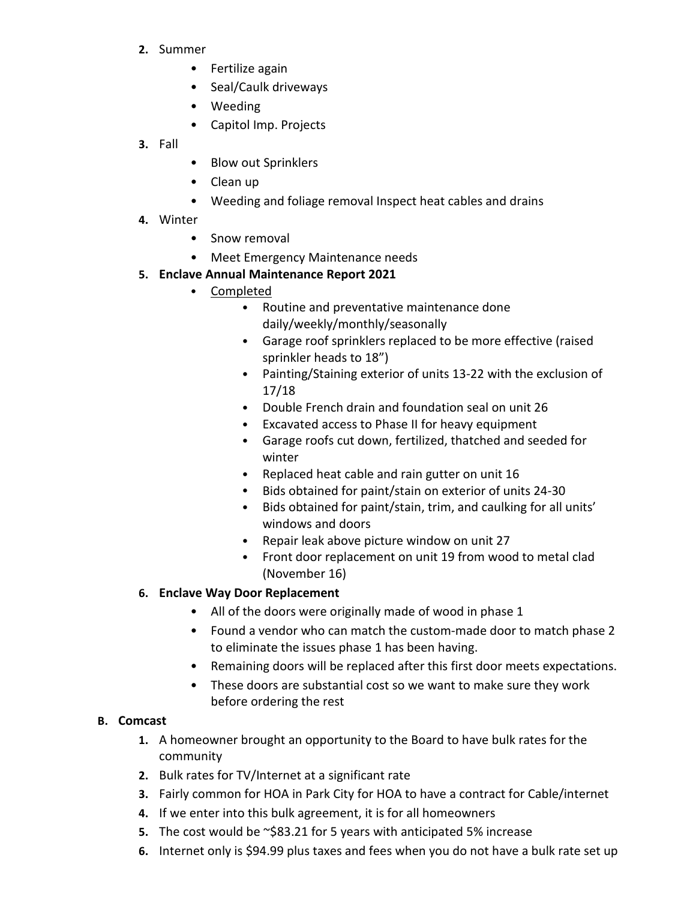- **2.** Summer
	- Fertilize again
	- Seal/Caulk driveways
	- Weeding
	- Capitol Imp. Projects
- **3.** Fall
- Blow out Sprinklers
- Clean up
- Weeding and foliage removal Inspect heat cables and drains
- **4.** Winter
	- Snow removal
	- Meet Emergency Maintenance needs
- **5. Enclave Annual Maintenance Report 2021**
	- Completed
		- Routine and preventative maintenance done daily/weekly/monthly/seasonally
		- Garage roof sprinklers replaced to be more effective (raised sprinkler heads to 18")
		- Painting/Staining exterior of units 13-22 with the exclusion of 17/18
		- Double French drain and foundation seal on unit 26
		- Excavated access to Phase II for heavy equipment
		- Garage roofs cut down, fertilized, thatched and seeded for winter
		- Replaced heat cable and rain gutter on unit 16
		- Bids obtained for paint/stain on exterior of units 24-30
		- Bids obtained for paint/stain, trim, and caulking for all units' windows and doors
		- Repair leak above picture window on unit 27
		- Front door replacement on unit 19 from wood to metal clad (November 16)

## **6. Enclave Way Door Replacement**

- All of the doors were originally made of wood in phase 1
- Found a vendor who can match the custom-made door to match phase 2 to eliminate the issues phase 1 has been having.
- Remaining doors will be replaced after this first door meets expectations.
- These doors are substantial cost so we want to make sure they work before ordering the rest

## **B. Comcast**

- **1.** A homeowner brought an opportunity to the Board to have bulk rates for the community
- **2.** Bulk rates for TV/Internet at a significant rate
- **3.** Fairly common for HOA in Park City for HOA to have a contract for Cable/internet
- **4.** If we enter into this bulk agreement, it is for all homeowners
- **5.** The cost would be ~\$83.21 for 5 years with anticipated 5% increase
- **6.** Internet only is \$94.99 plus taxes and fees when you do not have a bulk rate set up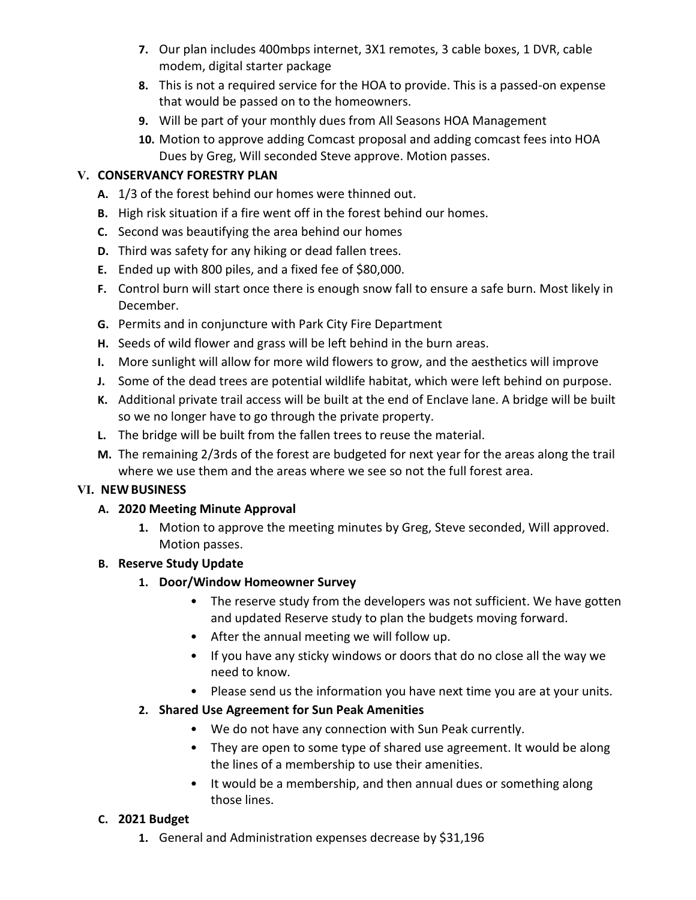- **7.** Our plan includes 400mbps internet, 3X1 remotes, 3 cable boxes, 1 DVR, cable modem, digital starter package
- **8.** This is not a required service for the HOA to provide. This is a passed-on expense that would be passed on to the homeowners.
- **9.** Will be part of your monthly dues from All Seasons HOA Management
- **10.** Motion to approve adding Comcast proposal and adding comcast fees into HOA Dues by Greg, Will seconded Steve approve. Motion passes.

## **V. CONSERVANCY FORESTRY PLAN**

- **A.** 1/3 of the forest behind our homes were thinned out.
- **B.** High risk situation if a fire went off in the forest behind our homes.
- **C.** Second was beautifying the area behind our homes
- **D.** Third was safety for any hiking or dead fallen trees.
- **E.** Ended up with 800 piles, and a fixed fee of \$80,000.
- **F.** Control burn will start once there is enough snow fall to ensure a safe burn. Most likely in December.
- **G.** Permits and in conjuncture with Park City Fire Department
- **H.** Seeds of wild flower and grass will be left behind in the burn areas.
- **I.** More sunlight will allow for more wild flowers to grow, and the aesthetics will improve
- **J.** Some of the dead trees are potential wildlife habitat, which were left behind on purpose.
- **K.** Additional private trail access will be built at the end of Enclave lane. A bridge will be built so we no longer have to go through the private property.
- **L.** The bridge will be built from the fallen trees to reuse the material.
- **M.** The remaining 2/3rds of the forest are budgeted for next year for the areas along the trail where we use them and the areas where we see so not the full forest area.

## **VI. NEW BUSINESS**

## **A. 2020 Meeting Minute Approval**

**1.** Motion to approve the meeting minutes by Greg, Steve seconded, Will approved. Motion passes.

## **B. Reserve Study Update**

- **1. Door/Window Homeowner Survey**
	- The reserve study from the developers was not sufficient. We have gotten and updated Reserve study to plan the budgets moving forward.
	- After the annual meeting we will follow up.
	- If you have any sticky windows or doors that do no close all the way we need to know.
	- Please send us the information you have next time you are at your units.

# **2. Shared Use Agreement for Sun Peak Amenities**

- We do not have any connection with Sun Peak currently.
- They are open to some type of shared use agreement. It would be along the lines of a membership to use their amenities.
- It would be a membership, and then annual dues or something along those lines.

## **C. 2021 Budget**

**1.** General and Administration expenses decrease by \$31,196